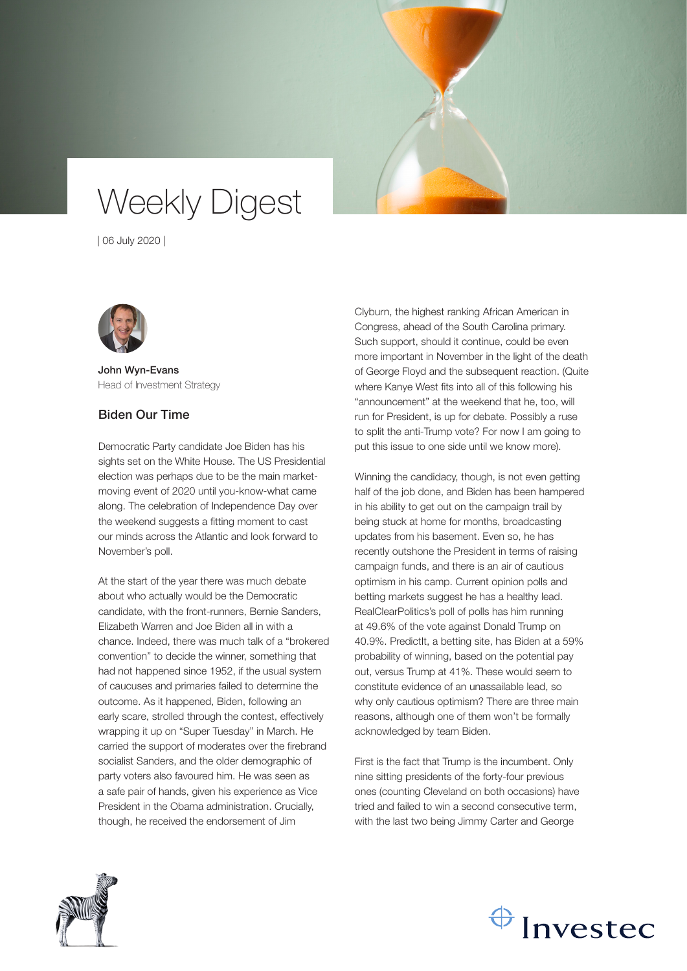# Weekly Digest

| 06 July 2020 |



John Wyn-Evans Head of Investment Strategy

### Biden Our Time

Democratic Party candidate Joe Biden has his sights set on the White House. The US Presidential election was perhaps due to be the main marketmoving event of 2020 until you-know-what came along. The celebration of Independence Day over the weekend suggests a fitting moment to cast our minds across the Atlantic and look forward to November's poll.

At the start of the year there was much debate about who actually would be the Democratic candidate, with the front-runners, Bernie Sanders, Elizabeth Warren and Joe Biden all in with a chance. Indeed, there was much talk of a "brokered convention" to decide the winner, something that had not happened since 1952, if the usual system of caucuses and primaries failed to determine the outcome. As it happened, Biden, following an early scare, strolled through the contest, effectively wrapping it up on "Super Tuesday" in March. He carried the support of moderates over the firebrand socialist Sanders, and the older demographic of party voters also favoured him. He was seen as a safe pair of hands, given his experience as Vice President in the Obama administration. Crucially, though, he received the endorsement of Jim

Clyburn, the highest ranking African American in Congress, ahead of the South Carolina primary. Such support, should it continue, could be even more important in November in the light of the death of George Floyd and the subsequent reaction. (Quite where Kanye West fits into all of this following his "announcement" at the weekend that he, too, will run for President, is up for debate. Possibly a ruse to split the anti-Trump vote? For now I am going to put this issue to one side until we know more).

Winning the candidacy, though, is not even getting half of the job done, and Biden has been hampered in his ability to get out on the campaign trail by being stuck at home for months, broadcasting updates from his basement. Even so, he has recently outshone the President in terms of raising campaign funds, and there is an air of cautious optimism in his camp. Current opinion polls and betting markets suggest he has a healthy lead. RealClearPolitics's poll of polls has him running at 49.6% of the vote against Donald Trump on 40.9%. PredictIt, a betting site, has Biden at a 59% probability of winning, based on the potential pay out, versus Trump at 41%. These would seem to constitute evidence of an unassailable lead, so why only cautious optimism? There are three main reasons, although one of them won't be formally acknowledged by team Biden.

First is the fact that Trump is the incumbent. Only nine sitting presidents of the forty-four previous ones (counting Cleveland on both occasions) have tried and failed to win a second consecutive term, with the last two being Jimmy Carter and George



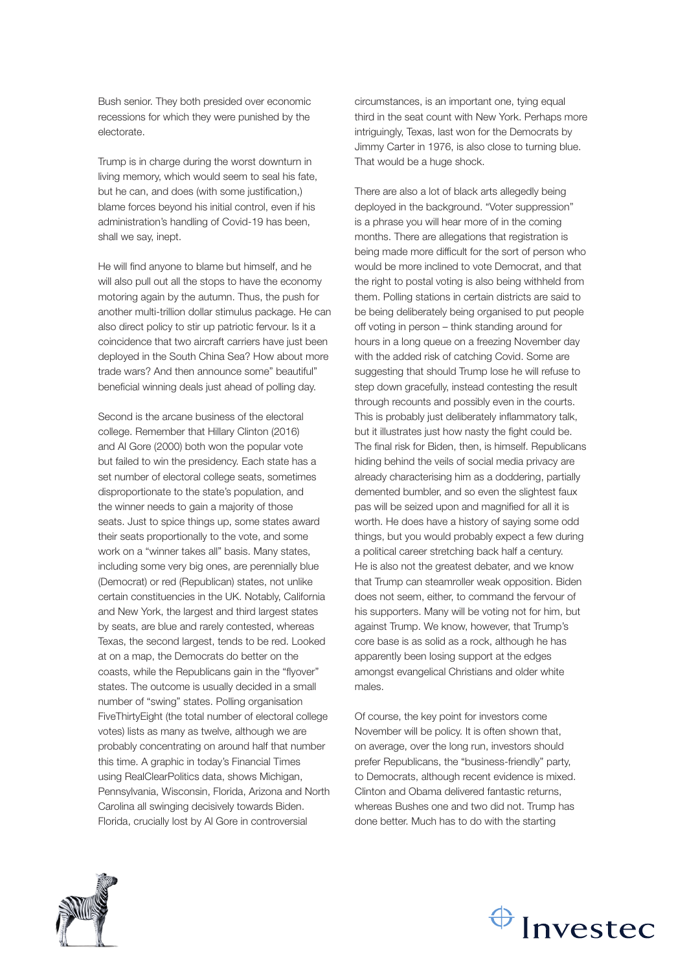Bush senior. They both presided over economic recessions for which they were punished by the electorate.

Trump is in charge during the worst downturn in living memory, which would seem to seal his fate, but he can, and does (with some justification,) blame forces beyond his initial control, even if his administration's handling of Covid-19 has been, shall we say, inept.

He will find anyone to blame but himself, and he will also pull out all the stops to have the economy motoring again by the autumn. Thus, the push for another multi-trillion dollar stimulus package. He can also direct policy to stir up patriotic fervour. Is it a coincidence that two aircraft carriers have just been deployed in the South China Sea? How about more trade wars? And then announce some" beautiful" beneficial winning deals just ahead of polling day.

Second is the arcane business of the electoral college. Remember that Hillary Clinton (2016) and Al Gore (2000) both won the popular vote but failed to win the presidency. Each state has a set number of electoral college seats, sometimes disproportionate to the state's population, and the winner needs to gain a majority of those seats. Just to spice things up, some states award their seats proportionally to the vote, and some work on a "winner takes all" basis. Many states, including some very big ones, are perennially blue (Democrat) or red (Republican) states, not unlike certain constituencies in the UK. Notably, California and New York, the largest and third largest states by seats, are blue and rarely contested, whereas Texas, the second largest, tends to be red. Looked at on a map, the Democrats do better on the coasts, while the Republicans gain in the "flyover" states. The outcome is usually decided in a small number of "swing" states. Polling organisation FiveThirtyEight (the total number of electoral college votes) lists as many as twelve, although we are probably concentrating on around half that number this time. A graphic in today's Financial Times using RealClearPolitics data, shows Michigan, Pennsylvania, Wisconsin, Florida, Arizona and North Carolina all swinging decisively towards Biden. Florida, crucially lost by Al Gore in controversial

circumstances, is an important one, tying equal third in the seat count with New York. Perhaps more intriguingly, Texas, last won for the Democrats by Jimmy Carter in 1976, is also close to turning blue. That would be a huge shock.

There are also a lot of black arts allegedly being deployed in the background. "Voter suppression" is a phrase you will hear more of in the coming months. There are allegations that registration is being made more difficult for the sort of person who would be more inclined to vote Democrat, and that the right to postal voting is also being withheld from them. Polling stations in certain districts are said to be being deliberately being organised to put people off voting in person – think standing around for hours in a long queue on a freezing November day with the added risk of catching Covid. Some are suggesting that should Trump lose he will refuse to step down gracefully, instead contesting the result through recounts and possibly even in the courts. This is probably just deliberately inflammatory talk, but it illustrates just how nasty the fight could be. The final risk for Biden, then, is himself. Republicans hiding behind the veils of social media privacy are already characterising him as a doddering, partially demented bumbler, and so even the slightest faux pas will be seized upon and magnified for all it is worth. He does have a history of saying some odd things, but you would probably expect a few during a political career stretching back half a century. He is also not the greatest debater, and we know that Trump can steamroller weak opposition. Biden does not seem, either, to command the fervour of his supporters. Many will be voting not for him, but against Trump. We know, however, that Trump's core base is as solid as a rock, although he has apparently been losing support at the edges amongst evangelical Christians and older white males.

Of course, the key point for investors come November will be policy. It is often shown that, on average, over the long run, investors should prefer Republicans, the "business-friendly" party, to Democrats, although recent evidence is mixed. Clinton and Obama delivered fantastic returns, whereas Bushes one and two did not. Trump has done better. Much has to do with the starting



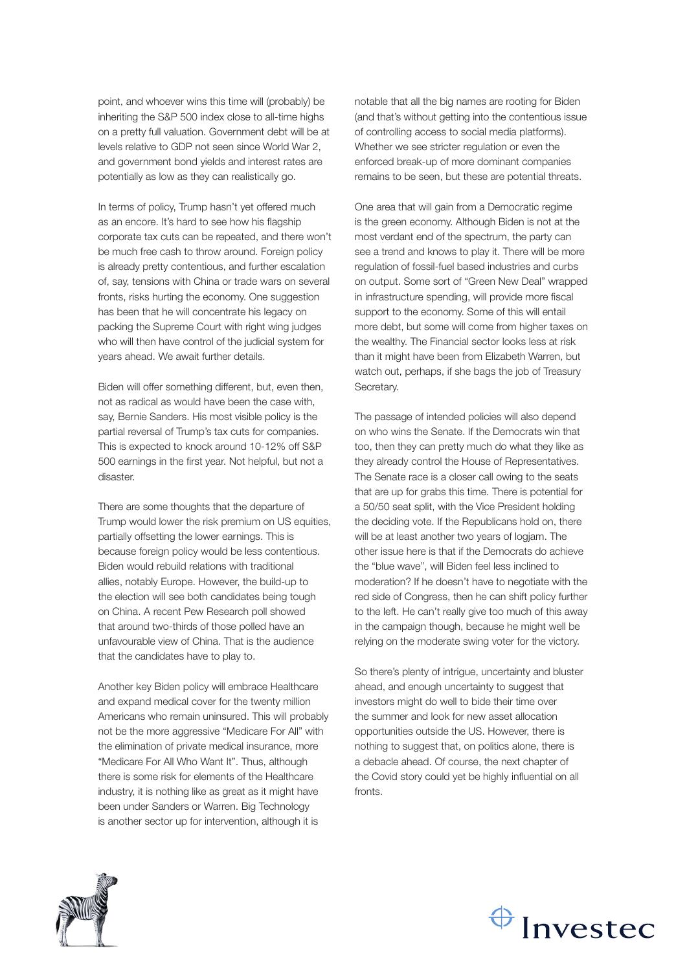point, and whoever wins this time will (probably) be inheriting the S&P 500 index close to all-time highs on a pretty full valuation. Government debt will be at levels relative to GDP not seen since World War 2, and government bond yields and interest rates are potentially as low as they can realistically go.

In terms of policy, Trump hasn't yet offered much as an encore. It's hard to see how his flagship corporate tax cuts can be repeated, and there won't be much free cash to throw around. Foreign policy is already pretty contentious, and further escalation of, say, tensions with China or trade wars on several fronts, risks hurting the economy. One suggestion has been that he will concentrate his legacy on packing the Supreme Court with right wing judges who will then have control of the judicial system for years ahead. We await further details.

Biden will offer something different, but, even then, not as radical as would have been the case with, say, Bernie Sanders. His most visible policy is the partial reversal of Trump's tax cuts for companies. This is expected to knock around 10-12% off S&P 500 earnings in the first year. Not helpful, but not a disaster.

There are some thoughts that the departure of Trump would lower the risk premium on US equities, partially offsetting the lower earnings. This is because foreign policy would be less contentious. Biden would rebuild relations with traditional allies, notably Europe. However, the build-up to the election will see both candidates being tough on China. A recent Pew Research poll showed that around two-thirds of those polled have an unfavourable view of China. That is the audience that the candidates have to play to.

Another key Biden policy will embrace Healthcare and expand medical cover for the twenty million Americans who remain uninsured. This will probably not be the more aggressive "Medicare For All" with the elimination of private medical insurance, more "Medicare For All Who Want It". Thus, although there is some risk for elements of the Healthcare industry, it is nothing like as great as it might have been under Sanders or Warren. Big Technology is another sector up for intervention, although it is

notable that all the big names are rooting for Biden (and that's without getting into the contentious issue of controlling access to social media platforms). Whether we see stricter regulation or even the enforced break-up of more dominant companies remains to be seen, but these are potential threats.

One area that will gain from a Democratic regime is the green economy. Although Biden is not at the most verdant end of the spectrum, the party can see a trend and knows to play it. There will be more regulation of fossil-fuel based industries and curbs on output. Some sort of "Green New Deal" wrapped in infrastructure spending, will provide more fiscal support to the economy. Some of this will entail more debt, but some will come from higher taxes on the wealthy. The Financial sector looks less at risk than it might have been from Elizabeth Warren, but watch out, perhaps, if she bags the job of Treasury Secretary.

The passage of intended policies will also depend on who wins the Senate. If the Democrats win that too, then they can pretty much do what they like as they already control the House of Representatives. The Senate race is a closer call owing to the seats that are up for grabs this time. There is potential for a 50/50 seat split, with the Vice President holding the deciding vote. If the Republicans hold on, there will be at least another two years of logjam. The other issue here is that if the Democrats do achieve the "blue wave", will Biden feel less inclined to moderation? If he doesn't have to negotiate with the red side of Congress, then he can shift policy further to the left. He can't really give too much of this away in the campaign though, because he might well be relying on the moderate swing voter for the victory.

So there's plenty of intrigue, uncertainty and bluster ahead, and enough uncertainty to suggest that investors might do well to bide their time over the summer and look for new asset allocation opportunities outside the US. However, there is nothing to suggest that, on politics alone, there is a debacle ahead. Of course, the next chapter of the Covid story could yet be highly influential on all fronts.